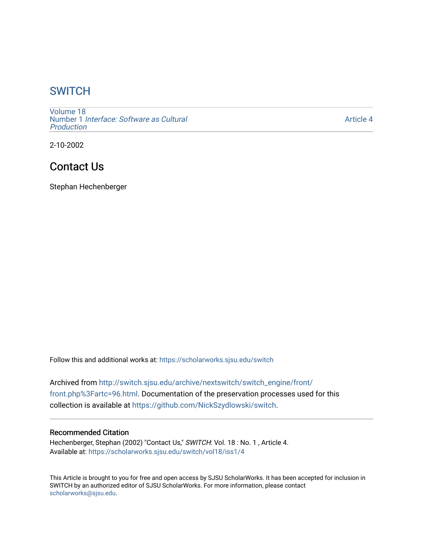# **SWITCH**

[Volume 18](https://scholarworks.sjsu.edu/switch/vol18) Number 1 [Interface: Software as Cultural](https://scholarworks.sjsu.edu/switch/vol18/iss1)  [Production](https://scholarworks.sjsu.edu/switch/vol18/iss1)

[Article 4](https://scholarworks.sjsu.edu/switch/vol18/iss1/4) 

2-10-2002

# Contact Us

Stephan Hechenberger

Follow this and additional works at: [https://scholarworks.sjsu.edu/switch](https://scholarworks.sjsu.edu/switch?utm_source=scholarworks.sjsu.edu%2Fswitch%2Fvol18%2Fiss1%2F4&utm_medium=PDF&utm_campaign=PDFCoverPages)

Archived from [http://switch.sjsu.edu/archive/nextswitch/switch\\_engine/front/](http://switch.sjsu.edu/archive/nextswitch/switch_engine/front/front.php%3Fartc=96.html) [front.php%3Fartc=96.html](http://switch.sjsu.edu/archive/nextswitch/switch_engine/front/front.php%3Fartc=96.html). Documentation of the preservation processes used for this collection is available at [https://github.com/NickSzydlowski/switch.](https://github.com/NickSzydlowski/switch)

#### Recommended Citation

Hechenberger, Stephan (2002) "Contact Us," SWITCH: Vol. 18 : No. 1, Article 4. Available at: [https://scholarworks.sjsu.edu/switch/vol18/iss1/4](https://scholarworks.sjsu.edu/switch/vol18/iss1/4?utm_source=scholarworks.sjsu.edu%2Fswitch%2Fvol18%2Fiss1%2F4&utm_medium=PDF&utm_campaign=PDFCoverPages) 

This Article is brought to you for free and open access by SJSU ScholarWorks. It has been accepted for inclusion in SWITCH by an authorized editor of SJSU ScholarWorks. For more information, please contact [scholarworks@sjsu.edu](mailto:scholarworks@sjsu.edu).